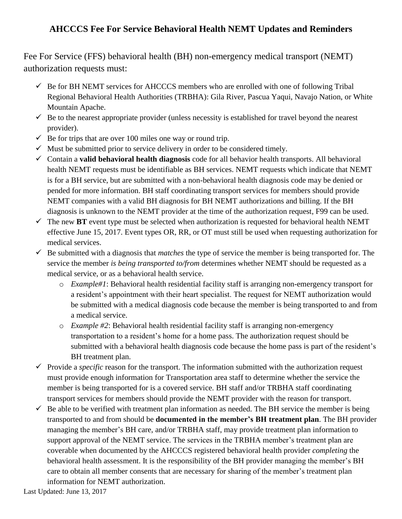## **AHCCCS Fee For Service Behavioral Health NEMT Updates and Reminders**

Fee For Service (FFS) behavioral health (BH) non-emergency medical transport (NEMT) authorization requests must:

- $\checkmark$  Be for BH NEMT services for AHCCCS members who are enrolled with one of following Tribal Regional Behavioral Health Authorities (TRBHA): Gila River, Pascua Yaqui, Navajo Nation, or White Mountain Apache.
- $\checkmark$  Be to the nearest appropriate provider (unless necessity is established for travel beyond the nearest provider).
- $\checkmark$  Be for trips that are over 100 miles one way or round trip.
- $\checkmark$  Must be submitted prior to service delivery in order to be considered timely.
- Contain a **valid behavioral health diagnosis** code for all behavior health transports. All behavioral health NEMT requests must be identifiable as BH services. NEMT requests which indicate that NEMT is for a BH service, but are submitted with a non-behavioral health diagnosis code may be denied or pended for more information. BH staff coordinating transport services for members should provide NEMT companies with a valid BH diagnosis for BH NEMT authorizations and billing. If the BH diagnosis is unknown to the NEMT provider at the time of the authorization request, F99 can be used.
- $\checkmark$  The new **BT** event type must be selected when authorization is requested for behavioral health NEMT effective June 15, 2017. Event types OR, RR, or OT must still be used when requesting authorization for medical services.
- $\checkmark$  Be submitted with a diagnosis that *matches* the type of service the member is being transported for. The service the member *is being transported to/from* determines whether NEMT should be requested as a medical service, or as a behavioral health service.
	- o *Example#1*: Behavioral health residential facility staff is arranging non-emergency transport for a resident's appointment with their heart specialist. The request for NEMT authorization would be submitted with a medical diagnosis code because the member is being transported to and from a medical service.
	- o *Example #2*: Behavioral health residential facility staff is arranging non-emergency transportation to a resident's home for a home pass. The authorization request should be submitted with a behavioral health diagnosis code because the home pass is part of the resident's BH treatment plan.
- $\checkmark$  Provide a *specific* reason for the transport. The information submitted with the authorization request must provide enough information for Transportation area staff to determine whether the service the member is being transported for is a covered service. BH staff and/or TRBHA staff coordinating transport services for members should provide the NEMT provider with the reason for transport.
- $\checkmark$  Be able to be verified with treatment plan information as needed. The BH service the member is being transported to and from should be **documented in the member's BH treatment plan**. The BH provider managing the member's BH care, and/or TRBHA staff, may provide treatment plan information to support approval of the NEMT service. The services in the TRBHA member's treatment plan are coverable when documented by the AHCCCS registered behavioral health provider *completing* the behavioral health assessment. It is the responsibility of the BH provider managing the member's BH care to obtain all member consents that are necessary for sharing of the member's treatment plan information for NEMT authorization.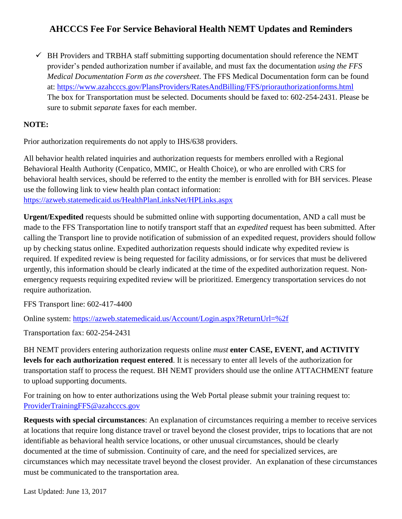## **AHCCCS Fee For Service Behavioral Health NEMT Updates and Reminders**

 $\checkmark$  BH Providers and TRBHA staff submitting supporting documentation should reference the NEMT provider's pended authorization number if available, and must fax the documentation *using the FFS Medical Documentation Form as the coversheet*. The FFS Medical Documentation form can be found at:<https://www.azahcccs.gov/PlansProviders/RatesAndBilling/FFS/priorauthorizationforms.html> The box for Transportation must be selected. Documents should be faxed to: 602-254-2431. Please be sure to submit *separate* faxes for each member.

## **NOTE:**

Prior authorization requirements do not apply to IHS/638 providers.

All behavior health related inquiries and authorization requests for members enrolled with a Regional Behavioral Health Authority (Cenpatico, MMIC, or Health Choice), or who are enrolled with CRS for behavioral health services, should be referred to the entity the member is enrolled with for BH services. Please use the following link to view health plan contact information: <https://azweb.statemedicaid.us/HealthPlanLinksNet/HPLinks.aspx>

**Urgent/Expedited** requests should be submitted online with supporting documentation, AND a call must be made to the FFS Transportation line to notify transport staff that an *expedited* request has been submitted. After calling the Transport line to provide notification of submission of an expedited request, providers should follow up by checking status online. Expedited authorization requests should indicate why expedited review is required. If expedited review is being requested for facility admissions, or for services that must be delivered urgently, this information should be clearly indicated at the time of the expedited authorization request. Nonemergency requests requiring expedited review will be prioritized. Emergency transportation services do not require authorization.

FFS Transport line: 602-417-4400

Online system:<https://azweb.statemedicaid.us/Account/Login.aspx?ReturnUrl=%2f>

Transportation fax: 602-254-2431

BH NEMT providers entering authorization requests online *must* **enter CASE, EVENT, and ACTIVITY levels for each authorization request entered**. It is necessary to enter all levels of the authorization for transportation staff to process the request. BH NEMT providers should use the online ATTACHMENT feature to upload supporting documents.

For training on how to enter authorizations using the Web Portal please submit your training request to: [ProviderTrainingFFS@azahcccs.gov](mailto:ProviderTrainingFFS@azahcccs.gov)

**Requests with special circumstances**: An explanation of circumstances requiring a member to receive services at locations that require long distance travel or travel beyond the closest provider, trips to locations that are not identifiable as behavioral health service locations, or other unusual circumstances, should be clearly documented at the time of submission. Continuity of care, and the need for specialized services, are circumstances which may necessitate travel beyond the closest provider. An explanation of these circumstances must be communicated to the transportation area.